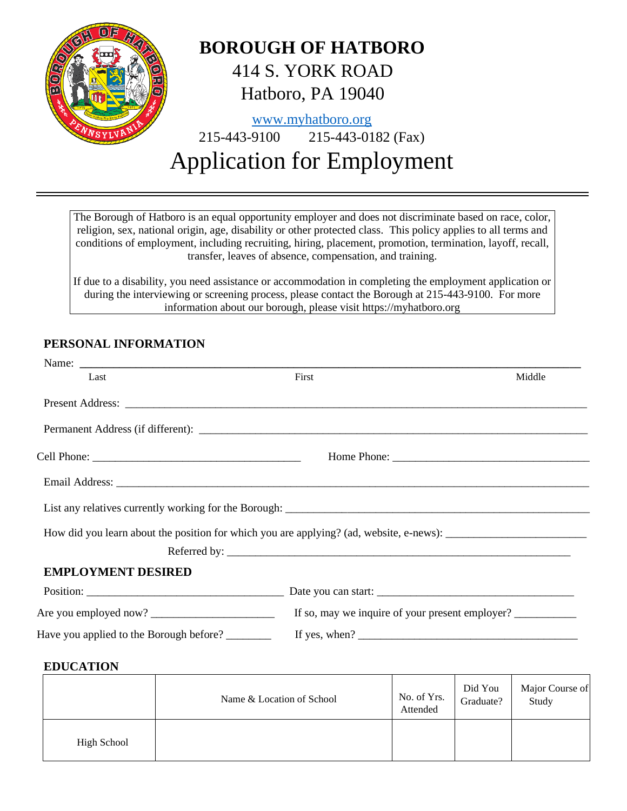

The Borough of Hatboro is an equal opportunity employer and does not discriminate based on race, color, religion, sex, national origin, age, disability or other protected class. This policy applies to all terms and conditions of employment, including recruiting, hiring, placement, promotion, termination, layoff, recall, transfer, leaves of absence, compensation, and training.

If due to a disability, you need assistance or accommodation in completing the employment application or during the interviewing or screening process, please contact the Borough at 215-443-9100. For more information about our borough, please visit https://myhatboro.org

# **PERSONAL INFORMATION**

| Name:                                   |                                                                  |        |
|-----------------------------------------|------------------------------------------------------------------|--------|
| Last                                    | First                                                            | Middle |
|                                         | Present Address: <u>December 2008</u>                            |        |
|                                         |                                                                  |        |
|                                         |                                                                  |        |
|                                         |                                                                  |        |
|                                         |                                                                  |        |
|                                         |                                                                  |        |
|                                         |                                                                  |        |
| <b>EMPLOYMENT DESIRED</b>               |                                                                  |        |
|                                         |                                                                  |        |
|                                         | If so, may we inquire of your present employer?                  |        |
| Have you applied to the Borough before? | If yes, when? $\frac{1}{\sqrt{1-\frac{1}{2}} \cdot \frac{1}{2}}$ |        |
|                                         |                                                                  |        |

## **EDUCATION**

|                    | Name & Location of School | No. of Yrs.<br>Attended | Did You<br>Graduate? | Major Course of<br>Study |
|--------------------|---------------------------|-------------------------|----------------------|--------------------------|
| <b>High School</b> |                           |                         |                      |                          |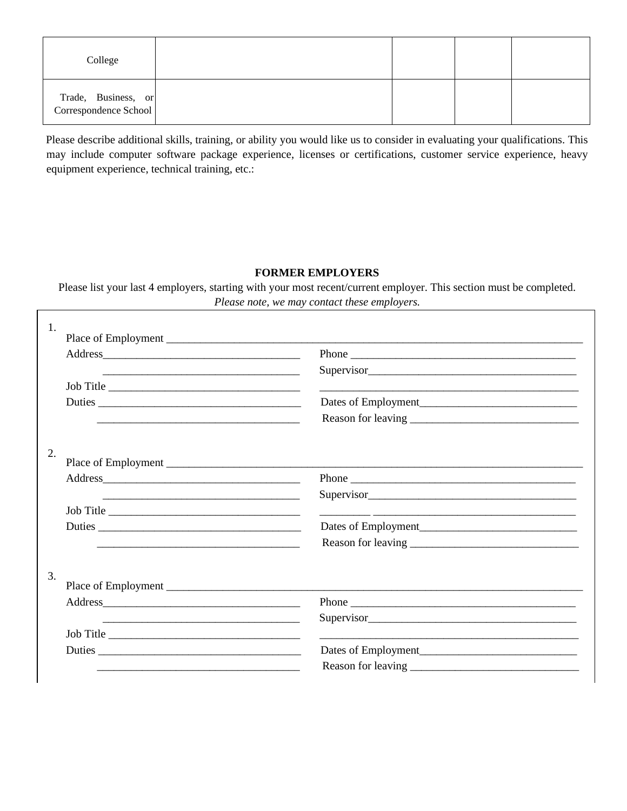| College                                      |  |  |
|----------------------------------------------|--|--|
| Trade, Business, or<br>Correspondence School |  |  |

Please describe additional skills, training, or ability you would like us to consider in evaluating your qualifications. This may include computer software package experience, licenses or certifications, customer service experience, heavy equipment experience, technical training, etc.:

## **FORMER EMPLOYERS**

Please list your last 4 employers, starting with your most recent/current employer. This section must be completed. *Please note, we may contact these employers.*

| 1.                                                         |                                                                                                                                                                                                                                |
|------------------------------------------------------------|--------------------------------------------------------------------------------------------------------------------------------------------------------------------------------------------------------------------------------|
|                                                            |                                                                                                                                                                                                                                |
| <u> 1989 - Johann John Stein, fransk politik (f. 1989)</u> | Supervisor Supervisor Supervisor Supervisor Supervisor Supervisor Supervisor Supervisor Supervisor Supervisor Supervisor Supervisor Supervisor Supervisor Supervisor Supervisor Supervisor Supervisor Supervisor Supervisor Su |
| Job Title                                                  | <u> 1989 - Johann Harry Harry Harry Harry Harry Harry Harry Harry Harry Harry Harry Harry Harry Harry Harry Harry</u>                                                                                                          |
|                                                            |                                                                                                                                                                                                                                |
|                                                            |                                                                                                                                                                                                                                |
| 2.                                                         |                                                                                                                                                                                                                                |
|                                                            |                                                                                                                                                                                                                                |
|                                                            |                                                                                                                                                                                                                                |
|                                                            | Supervisor                                                                                                                                                                                                                     |
| Job Title                                                  | <u> 1999 - Johann John Harry Harry Harry Harry Harry Harry Harry Harry Harry Harry Harry Harry Harry Harry Harry</u>                                                                                                           |
| Duties                                                     |                                                                                                                                                                                                                                |
|                                                            |                                                                                                                                                                                                                                |
| 3.                                                         |                                                                                                                                                                                                                                |
|                                                            |                                                                                                                                                                                                                                |
|                                                            | Supervisor                                                                                                                                                                                                                     |
| Job Title                                                  |                                                                                                                                                                                                                                |
|                                                            |                                                                                                                                                                                                                                |
|                                                            |                                                                                                                                                                                                                                |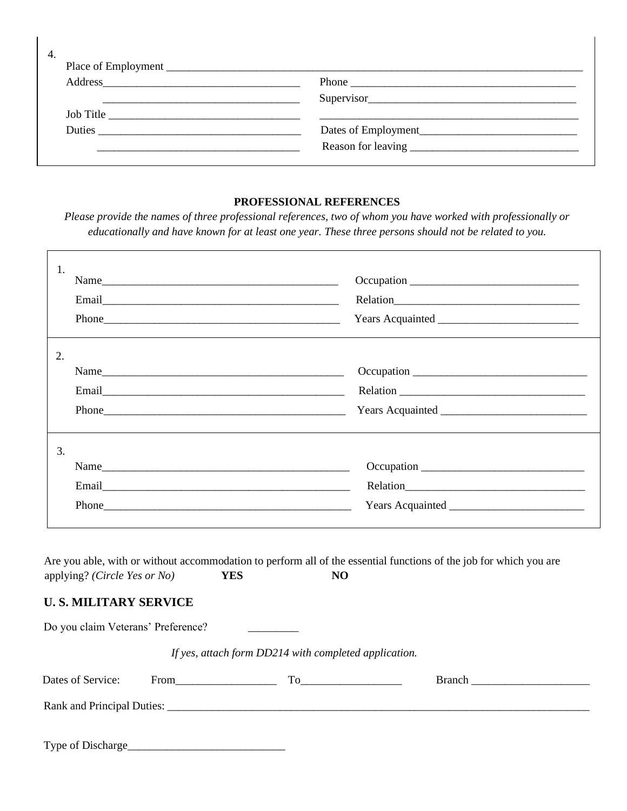| 4. |                           |                     |
|----|---------------------------|---------------------|
|    | Address <u>experience</u> |                     |
|    |                           |                     |
|    |                           |                     |
|    |                           | Dates of Employment |
|    |                           |                     |
|    |                           |                     |

### **PROFESSIONAL REFERENCES**

*Please provide the names of three professional references, two of whom you have worked with professionally or educationally and have known for at least one year. These three persons should not be related to you.*

| 1.                          |          |  |
|-----------------------------|----------|--|
|                             | Relation |  |
|                             |          |  |
| 2.                          |          |  |
|                             |          |  |
|                             |          |  |
| $Phone$ and $Phone$ and $ $ |          |  |
| 3.                          |          |  |
| Name                        |          |  |
|                             |          |  |
|                             |          |  |

Are you able, with or without accommodation to perform all of the essential functions of the job for which you are applying? *(Circle Yes or No)* **YES NO**

## **U. S. MILITARY SERVICE**

Do you claim Veterans' Preference?

 *If yes, attach form DD214 with completed application.* 

| Dates of Service:          | From | Тο | <b>Branch</b> |  |
|----------------------------|------|----|---------------|--|
| Rank and Principal Duties: |      |    |               |  |
|                            |      |    |               |  |
| Type of Discharge_         |      |    |               |  |